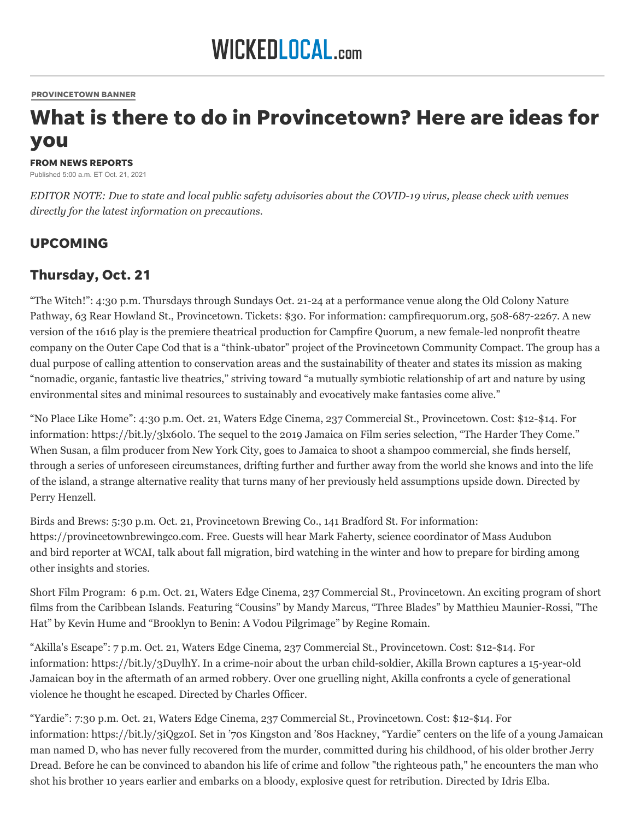#### [PROVINCETOWN](https://www.wickedlocal.com/provincetownbanner/) BANNER

# What is there to do in Provincetown? Here are ideas for you

#### FROM NEWS REPORTS

Published 5:00 a.m. ET Oct. 21, 2021

*EDITOR NOTE: Due to state and local public safety advisories about the COVID-19 virus, please check with venues directly for the latest information on precautions.*

#### UPCOMING

#### Thursday, Oct. 21

"The Witch!": 4:30 p.m. Thursdays through Sundays Oct. 21-24 at a performance venue along the Old Colony Nature Pathway, 63 Rear Howland St., Provincetown. Tickets: \$30. For information: campfirequorum.org, 508-687-2267. A new version of the 1616 play is the premiere theatrical production for Campfire Quorum, a new female-led nonprofit theatre company on the Outer Cape Cod that is a "think-ubator" project of the Provincetown Community Compact. The group has a dual purpose of calling attention to conservation areas and the sustainability of theater and states its mission as making "nomadic, organic, fantastic live theatrics," striving toward "a mutually symbiotic relationship of art and nature by using environmental sites and minimal resources to sustainably and evocatively make fantasies come alive."

"No Place Like Home": 4:30 p.m. Oct. 21, Waters Edge Cinema, 237 Commercial St., Provincetown. Cost: \$12-\$14. For information: https://bit.ly/3lx60l0. The sequel to the 2019 Jamaica on Film series selection, "The Harder They Come." When Susan, a film producer from New York City, goes to Jamaica to shoot a shampoo commercial, she finds herself, through a series of unforeseen circumstances, drifting further and further away from the world she knows and into the life of the island, a strange alternative reality that turns many of her previously held assumptions upside down. Directed by Perry Henzell.

Birds and Brews: 5:30 p.m. Oct. 21, Provincetown Brewing Co., 141 Bradford St. For information: https://provincetownbrewingco.com. Free. Guests will hear Mark Faherty, science coordinator of Mass Audubon and bird reporter at WCAI, talk about fall migration, bird watching in the winter and how to prepare for birding among other insights and stories.

Short Film Program: 6 p.m. Oct. 21, Waters Edge Cinema, 237 Commercial St., Provincetown. An exciting program of short films from the Caribbean Islands. Featuring "Cousins" by Mandy Marcus, "Three Blades" by Matthieu Maunier-Rossi, "The Hat" by Kevin Hume and "Brooklyn to Benin: A Vodou Pilgrimage" by Regine Romain.

"Akilla's Escape": 7 p.m. Oct. 21, Waters Edge Cinema, 237 Commercial St., Provincetown. Cost: \$12-\$14. For information: https://bit.ly/3DuylhY. In a crime-noir about the urban child-soldier, Akilla Brown captures a 15-year-old Jamaican boy in the aftermath of an armed robbery. Over one gruelling night, Akilla confronts a cycle of generational violence he thought he escaped. Directed by Charles Officer.

"Yardie": 7:30 p.m. Oct. 21, Waters Edge Cinema, 237 Commercial St., Provincetown. Cost: \$12-\$14. For information: https://bit.ly/3iQgz0I. Set in '70s Kingston and '80s Hackney, "Yardie" centers on the life of a young Jamaican man named D, who has never fully recovered from the murder, committed during his childhood, of his older brother Jerry Dread. Before he can be convinced to abandon his life of crime and follow "the righteous path," he encounters the man who shot his brother 10 years earlier and embarks on a bloody, explosive quest for retribution. Directed by Idris Elba.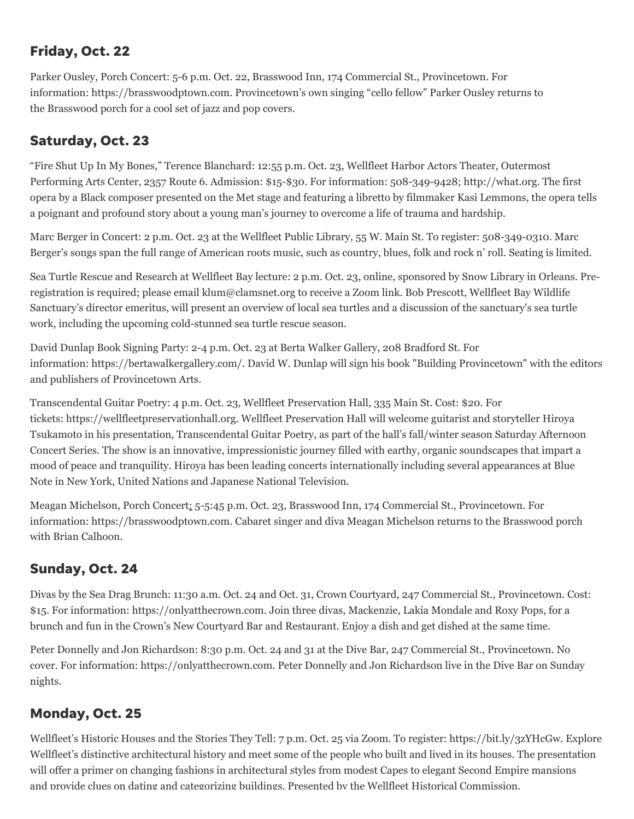# Friday, Oct. 22

Parker Ousley, Porch Concert: 5-6 p.m. Oct. 22, Brasswood Inn, 174 Commercial St., Provincetown. For information: https://brasswoodptown.com. Provincetown's own singing "cello fellow" Parker Ousley returns to the Brasswood porch for a cool set of jazz and pop covers.

# Saturday, Oct. 23

"Fire Shut Up In My Bones," Terence Blanchard: 12:55 p.m. Oct. 23, Wellfleet Harbor Actors Theater, Outermost Performing Arts Center, 2357 Route 6. Admission: \$15-\$30. For information: 508-349-9428; http://what.org. The first opera by a Black composer presented on the Met stage and featuring a libretto by filmmaker Kasi Lemmons, the opera tells a poignant and profound story about a young man's journey to overcome a life of trauma and hardship.

Marc Berger in Concert: 2 p.m. Oct. 23 at the Wellfleet Public Library, 55 W. Main St. To register: 508-349-0310. Marc Berger's songs span the full range of American roots music, such as country, blues, folk and rock n' roll. Seating is limited.

Sea Turtle Rescue and Research at Wellfleet Bay lecture: 2 p.m. Oct. 23, online, sponsored by Snow Library in Orleans. Preregistration is required; please email klum@clamsnet.org to receive a Zoom link. Bob Prescott, Wellfleet Bay Wildlife Sanctuary's director emeritus, will present an overview of local sea turtles and a discussion of the sanctuary's sea turtle work, including the upcoming cold-stunned sea turtle rescue season.

David Dunlap Book Signing Party: 2-4 p.m. Oct. 23 at Berta Walker Gallery, 208 Bradford St. For information: [https://bertawalkergallery.com/.](https://bertawalkergallery.com/) David W. Dunlap will sign his book "Building Provincetown" with the editors and publishers of Provincetown Arts.

Transcendental Guitar Poetry: 4 p.m. Oct. 23, Wellfleet Preservation Hall, 335 Main St. Cost: \$20. For tickets: https://wellfleetpreservationhall.org. Wellfleet Preservation Hall will welcome guitarist and storyteller Hiroya Tsukamoto in his presentation, Transcendental Guitar Poetry, as part of the hall's fall/winter season Saturday Afternoon Concert Series. The show is an innovative, impressionistic journey filled with earthy, organic soundscapes that impart a mood of peace and tranquility. Hiroya has been leading concerts internationally including several appearances at Blue Note in New York, United Nations and Japanese National Television.

Meagan Michelson, Porch Concert: 5-5:45 p.m. Oct. 23, Brasswood Inn, 174 Commercial St., Provincetown. For information: https://brasswoodptown.com. Cabaret singer and diva Meagan Michelson returns to the Brasswood porch with Brian Calhoon.

### Sunday, Oct. 24

Divas by the Sea Drag Brunch: 11:30 a.m. Oct. 24 and Oct. 31, Crown Courtyard, 247 Commercial St., Provincetown. Cost: \$15. For information: https://onlyatthecrown.com. Join three divas, Mackenzie, Lakia Mondale and Roxy Pops, for a brunch and fun in the Crown's New Courtyard Bar and Restaurant. Enjoy a dish and get dished at the same time.

Peter Donnelly and Jon Richardson: 8:30 p.m. Oct. 24 and 31 at the Dive Bar, 247 Commercial St., Provincetown. No cover. For information: https://onlyatthecrown.com. Peter Donnelly and Jon Richardson live in the Dive Bar on Sunday nights.

### Monday, Oct. 25

Wellfleet's Historic Houses and the Stories They Tell: 7 p.m. Oct. 25 via Zoom. To register: https://bit.ly/3zYHcGw. Explore Wellfleet's distinctive architectural history and meet some of the people who built and lived in its houses. The presentation will offer a primer on changing fashions in architectural styles from modest Capes to elegant Second Empire mansions and provide clues on dating and categorizing buildings. Presented by the Wellfleet Historical Commission.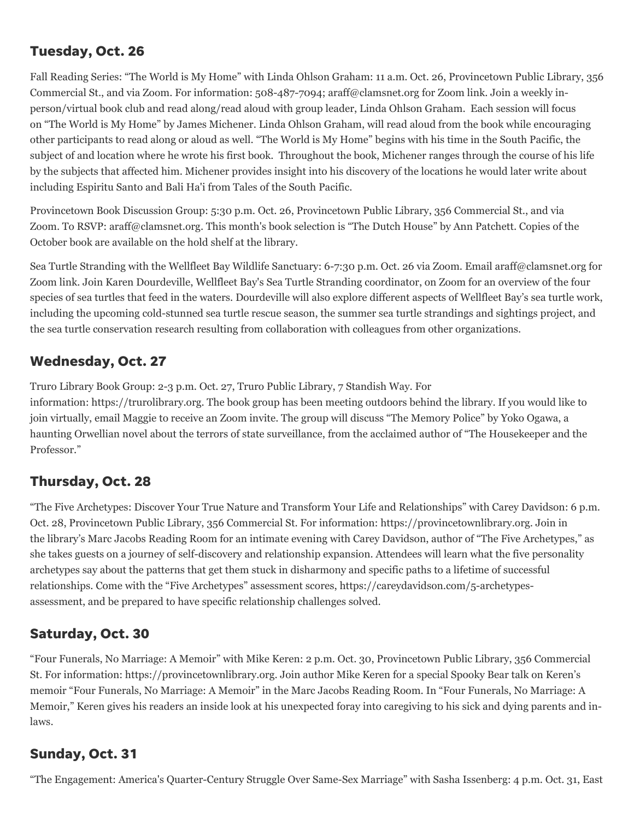### Tuesday, Oct. 26

Fall Reading Series: "The World is My Home" with Linda Ohlson Graham: 11 a.m. Oct. 26, Provincetown Public Library, 356 Commercial St., and via Zoom. For information: 508-487-7094; araff@clamsnet.org for Zoom link. Join a weekly inperson/virtual book club and read along/read aloud with group leader, Linda Ohlson Graham. Each session will focus on "The World is My Home" by James Michener. Linda Ohlson Graham, will read aloud from the book while encouraging other participants to read along or aloud as well. "The World is My Home" begins with his time in the South Pacific, the subject of and location where he wrote his first book. Throughout the book, Michener ranges through the course of his life by the subjects that affected him. Michener provides insight into his discovery of the locations he would later write about including Espiritu Santo and Bali Ha'i from Tales of the South Pacific.

Provincetown Book Discussion Group: 5:30 p.m. Oct. 26, Provincetown Public Library, 356 Commercial St., and via Zoom. To RSVP: araff@clamsnet.org. This month's book selection is "The Dutch House" by Ann Patchett. Copies of the October book are available on the hold shelf at the library.

Sea Turtle Stranding with the Wellfleet Bay Wildlife Sanctuary: 6-7:30 p.m. Oct. 26 via Zoom. Email araff@clamsnet.org for Zoom link. Join Karen Dourdeville, Wellfleet Bay's Sea Turtle Stranding coordinator, on Zoom for an overview of the four species of sea turtles that feed in the waters. Dourdeville will also explore different aspects of Wellfleet Bay's sea turtle work, including the upcoming cold-stunned sea turtle rescue season, the summer sea turtle strandings and sightings project, and the sea turtle conservation research resulting from collaboration with colleagues from other organizations.

#### Wednesday, Oct. 27

Truro Library Book Group: 2-3 p.m. Oct. 27, Truro Public Library, 7 Standish Way. For

information: https://trurolibrary.org. The book group has been meeting outdoors behind the library. If you would like to join virtually, email Maggie to receive an Zoom invite. The group will discuss "The Memory Police" by Yoko Ogawa, a haunting Orwellian novel about the terrors of state surveillance, from the acclaimed author of "The Housekeeper and the Professor."

### Thursday, Oct. 28

"The Five Archetypes: Discover Your True Nature and Transform Your Life and Relationships" with Carey Davidson: 6 p.m. Oct. 28, Provincetown Public Library, 356 Commercial St. For information: https://provincetownlibrary.org. Join in the library's Marc Jacobs Reading Room for an intimate evening with Carey Davidson, author of "The Five Archetypes," as she takes guests on a journey of self-discovery and relationship expansion. Attendees will learn what the five personality archetypes say about the patterns that get them stuck in disharmony and specific paths to a lifetime of successful relationships. Come with the "Five Archetypes" assessment scores, https://careydavidson.com/5-archetypesassessment, and be prepared to have specific relationship challenges solved.

### Saturday, Oct. 30

"Four Funerals, No Marriage: A Memoir" with Mike Keren: 2 p.m. Oct. 30, Provincetown Public Library, 356 Commercial St. For information: https://provincetownlibrary.org. Join author Mike Keren for a special Spooky Bear talk on Keren's memoir "Four Funerals, No Marriage: A Memoir" in the Marc Jacobs Reading Room. In "Four Funerals, No Marriage: A Memoir," Keren gives his readers an inside look at his unexpected foray into caregiving to his sick and dying parents and inlaws.

### Sunday, Oct. 31

"The Engagement: America's Quarter-Century Struggle Over Same-Sex Marriage" with Sasha Issenberg: 4 p.m. Oct. 31, East